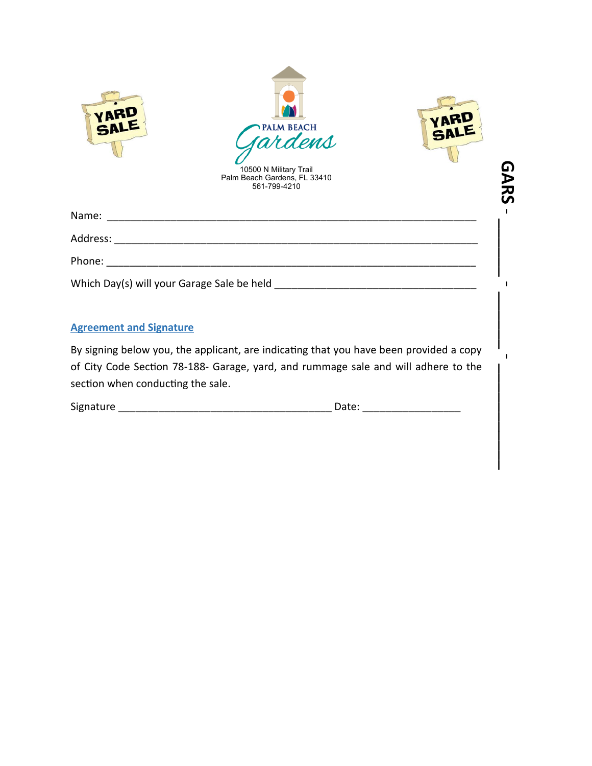|                                   | <b>PALM BEACH</b><br>rdens<br>10500 N Military Trail<br>Palm Beach Gardens, FL 33410<br>561-799-4210                                                                         |
|-----------------------------------|------------------------------------------------------------------------------------------------------------------------------------------------------------------------------|
|                                   |                                                                                                                                                                              |
|                                   |                                                                                                                                                                              |
|                                   |                                                                                                                                                                              |
|                                   |                                                                                                                                                                              |
| <b>Agreement and Signature</b>    |                                                                                                                                                                              |
| section when conducting the sale. | By signing below you, the applicant, are indicating that you have been provided a copy<br>of City Code Section 78-188- Garage, yard, and rummage sale and will adhere to the |
|                                   |                                                                                                                                                                              |

| section when conducting the sale. |  |
|-----------------------------------|--|
|-----------------------------------|--|

| Signature | Date: |
|-----------|-------|
|           |       |